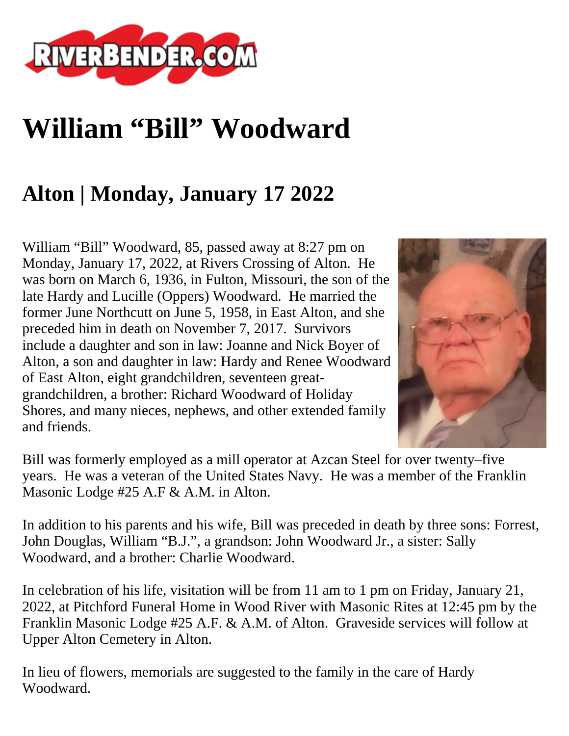

## **William "Bill" Woodward**

## **Alton | Monday, January 17 2022**

William "Bill" Woodward, 85, passed away at 8:27 pm on Monday, January 17, 2022, at Rivers Crossing of Alton. He was born on March 6, 1936, in Fulton, Missouri, the son of the late Hardy and Lucille (Oppers) Woodward. He married the former June Northcutt on June 5, 1958, in East Alton, and she preceded him in death on November 7, 2017. Survivors include a daughter and son in law: Joanne and Nick Boyer of Alton, a son and daughter in law: Hardy and Renee Woodward of East Alton, eight grandchildren, seventeen greatgrandchildren, a brother: Richard Woodward of Holiday Shores, and many nieces, nephews, and other extended family and friends.



Bill was formerly employed as a mill operator at Azcan Steel for over twenty–five years. He was a veteran of the United States Navy. He was a member of the Franklin Masonic Lodge #25 A.F & A.M. in Alton.

In addition to his parents and his wife, Bill was preceded in death by three sons: Forrest, John Douglas, William "B.J.", a grandson: John Woodward Jr., a sister: Sally Woodward, and a brother: Charlie Woodward.

In celebration of his life, visitation will be from 11 am to 1 pm on Friday, January 21, 2022, at Pitchford Funeral Home in Wood River with Masonic Rites at 12:45 pm by the Franklin Masonic Lodge #25 A.F. & A.M. of Alton. Graveside services will follow at Upper Alton Cemetery in Alton.

In lieu of flowers, memorials are suggested to the family in the care of Hardy Woodward.